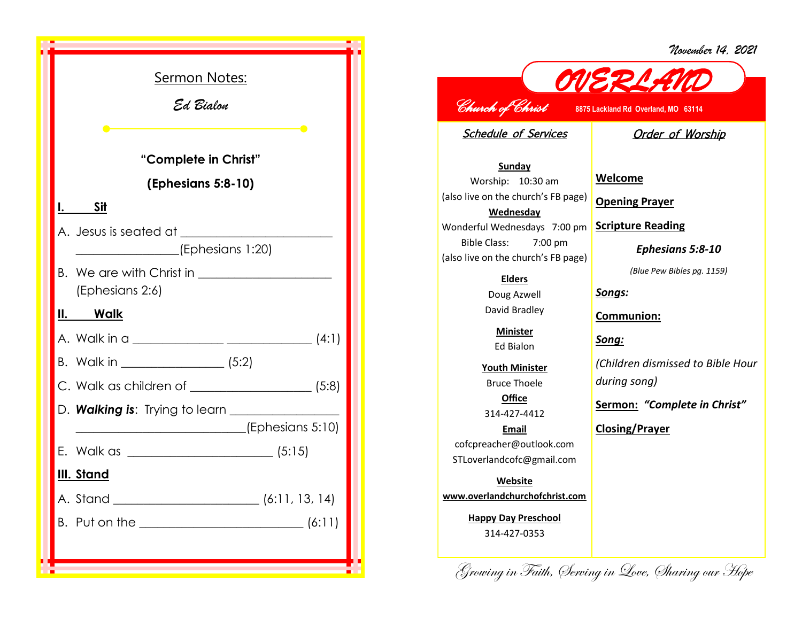*November 14, 2021*

| Sermon Notes:                                                 |  |
|---------------------------------------------------------------|--|
| Ed Bialon                                                     |  |
|                                                               |  |
| <u> 1980 - Johann Barn, mars an t-Amerikaansk politiker (</u> |  |
| "Complete in Christ"                                          |  |
| (Ephesians 5:8-10)                                            |  |
| I. Sit                                                        |  |
|                                                               |  |
|                                                               |  |
| (Ephesians 2:6)                                               |  |
| <u>II. Walk</u>                                               |  |
|                                                               |  |
|                                                               |  |
|                                                               |  |
| ___________________________(Ephesians 5:10)                   |  |
|                                                               |  |
| III. Stand                                                    |  |
| A. Stand<br>(6:11, 13, 14)                                    |  |
|                                                               |  |
|                                                               |  |
|                                                               |  |

## *OVERLAND Church of Christ* **8875 Lackland Rd Overland, MO 63114**

Schedule of Services

Order of Worship

**Sunday** Worship: 10:30 am (also live on the church's FB page) **Wednesday** Wonderful Wednesdays 7:00 pm Bible Class: 7:00 pm (also live on the church's FB page)

> **Elders** Doug Azwell David Bradley

> > **Minister** Ed Bialon

**Youth Minister** Bruce Thoele **Office**

314-427-4412

**Email** cofcpreacher@outlook.com STLoverlandcofc@gmail.com

**Website www.overlandchurchofchrist.com**

> **Happy Day Preschool** 314-427-0353

**Welcome**

**Opening Prayer**

**Scripture Reading**

*Ephesians 5:8-10*

*(Blue Pew Bibles pg. 1159)*

*Songs:*

**Communion:**

*Song:*

*(Children dismissed to Bible Hour during song)*

**Sermon:** *"Complete in Christ"*

**Closing/Prayer**

Growing in Faith, Serving in Love, Sharing our Hope